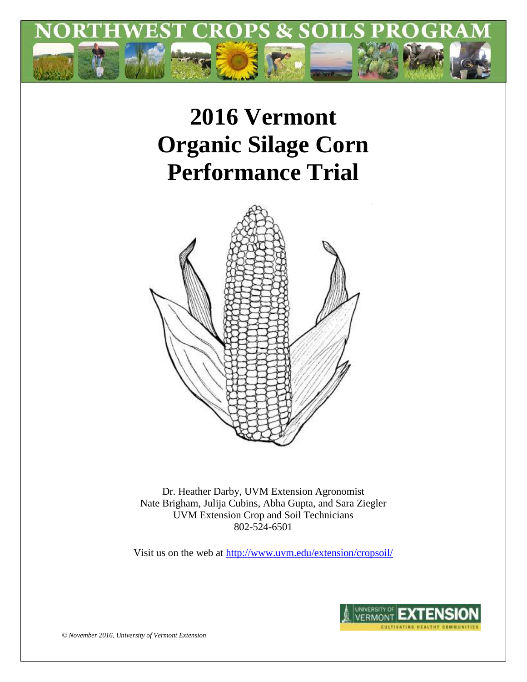

# **2016 Vermont Organic Silage Corn Performance Trial**



Dr. Heather Darby, UVM Extension Agronomist Nate Brigham, Julija Cubins, Abha Gupta, and Sara Ziegler UVM Extension Crop and Soil Technicians 802-524-6501

Visit us on the web at<http://www.uvm.edu/extension/cropsoil/>



*© November 2016, University of Vermont Extension*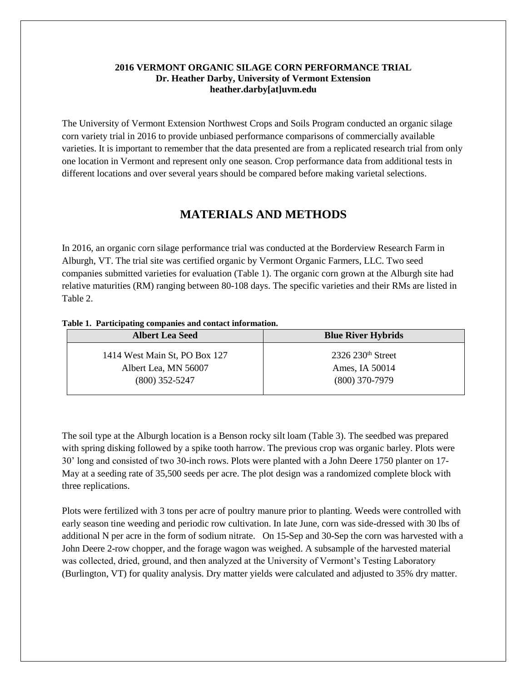### **2016 VERMONT ORGANIC SILAGE CORN PERFORMANCE TRIAL Dr. Heather Darby, University of Vermont Extension heather.darby[at]uvm.edu**

The University of Vermont Extension Northwest Crops and Soils Program conducted an organic silage corn variety trial in 2016 to provide unbiased performance comparisons of commercially available varieties. It is important to remember that the data presented are from a replicated research trial from only one location in Vermont and represent only one season. Crop performance data from additional tests in different locations and over several years should be compared before making varietal selections.

## **MATERIALS AND METHODS**

In 2016, an organic corn silage performance trial was conducted at the Borderview Research Farm in Alburgh, VT. The trial site was certified organic by Vermont Organic Farmers, LLC. Two seed companies submitted varieties for evaluation (Table 1). The organic corn grown at the Alburgh site had relative maturities (RM) ranging between 80-108 days. The specific varieties and their RMs are listed in Table 2.

#### **Table 1. Participating companies and contact information.**

| <b>Blue River Hybrids</b> |  |  |  |  |
|---------------------------|--|--|--|--|
| $2326$ $230th$ Street     |  |  |  |  |
| Ames, IA 50014            |  |  |  |  |
| $(800)$ 370-7979          |  |  |  |  |
|                           |  |  |  |  |

The soil type at the Alburgh location is a Benson rocky silt loam (Table 3). The seedbed was prepared with spring disking followed by a spike tooth harrow. The previous crop was organic barley. Plots were 30' long and consisted of two 30-inch rows. Plots were planted with a John Deere 1750 planter on 17- May at a seeding rate of 35,500 seeds per acre. The plot design was a randomized complete block with three replications.

Plots were fertilized with 3 tons per acre of poultry manure prior to planting. Weeds were controlled with early season tine weeding and periodic row cultivation. In late June, corn was side-dressed with 30 lbs of additional N per acre in the form of sodium nitrate. On 15-Sep and 30-Sep the corn was harvested with a John Deere 2-row chopper, and the forage wagon was weighed. A subsample of the harvested material was collected, dried, ground, and then analyzed at the University of Vermont's Testing Laboratory (Burlington, VT) for quality analysis. Dry matter yields were calculated and adjusted to 35% dry matter.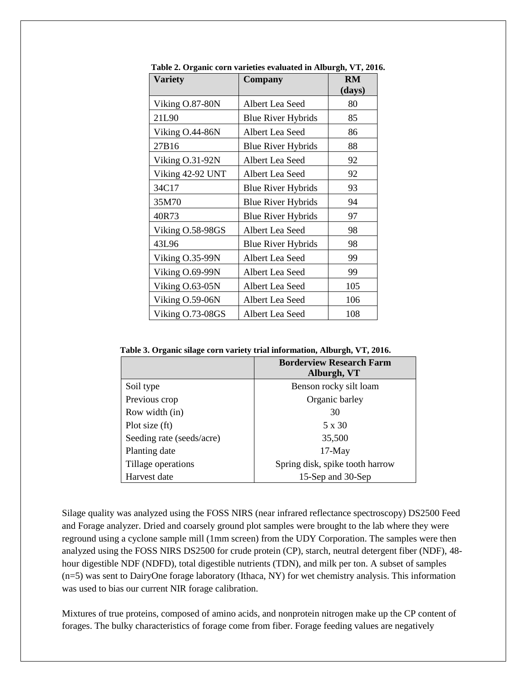| <b>Variety</b>   | Company                   | <b>RM</b><br>(days) |
|------------------|---------------------------|---------------------|
| Viking O.87-80N  | Albert Lea Seed           | 80                  |
| 21L90            | <b>Blue River Hybrids</b> | 85                  |
| Viking O.44-86N  | Albert Lea Seed           | 86                  |
| 27B16            | <b>Blue River Hybrids</b> | 88                  |
| Viking O.31-92N  | Albert Lea Seed           | 92                  |
| Viking 42-92 UNT | Albert Lea Seed           | 92                  |
| 34C17            | <b>Blue River Hybrids</b> | 93                  |
| 35M70            | <b>Blue River Hybrids</b> | 94                  |
| 40R73            | <b>Blue River Hybrids</b> | 97                  |
| Viking O.58-98GS | Albert Lea Seed           | 98                  |
| 43L96            | <b>Blue River Hybrids</b> | 98                  |
| Viking O.35-99N  | Albert Lea Seed           | 99                  |
| Viking O.69-99N  | Albert Lea Seed           | 99                  |
| Viking O.63-05N  | Albert Lea Seed           | 105                 |
| Viking O.59-06N  | Albert Lea Seed           | 106                 |
| Viking O.73-08GS | Albert Lea Seed           | 108                 |

**Table 2. Organic corn varieties evaluated in Alburgh, VT, 2016.**

**Table 3. Organic silage corn variety trial information, Alburgh, VT, 2016.**

|                           | <b>Borderview Research Farm</b><br>Alburgh, VT |
|---------------------------|------------------------------------------------|
| Soil type                 | Benson rocky silt loam                         |
| Previous crop             | Organic barley                                 |
| Row width (in)            | 30                                             |
| Plot size (ft)            | 5 x 30                                         |
| Seeding rate (seeds/acre) | 35,500                                         |
| Planting date             | $17-May$                                       |
| Tillage operations        | Spring disk, spike tooth harrow                |
| Harvest date              | 15-Sep and 30-Sep                              |

Silage quality was analyzed using the FOSS NIRS (near infrared reflectance spectroscopy) DS2500 Feed and Forage analyzer. Dried and coarsely ground plot samples were brought to the lab where they were reground using a cyclone sample mill (1mm screen) from the UDY Corporation. The samples were then analyzed using the FOSS NIRS DS2500 for crude protein (CP), starch, neutral detergent fiber (NDF), 48 hour digestible NDF (NDFD), total digestible nutrients (TDN), and milk per ton. A subset of samples (n=5) was sent to DairyOne forage laboratory (Ithaca, NY) for wet chemistry analysis. This information was used to bias our current NIR forage calibration.

Mixtures of true proteins, composed of amino acids, and nonprotein nitrogen make up the CP content of forages. The bulky characteristics of forage come from fiber. Forage feeding values are negatively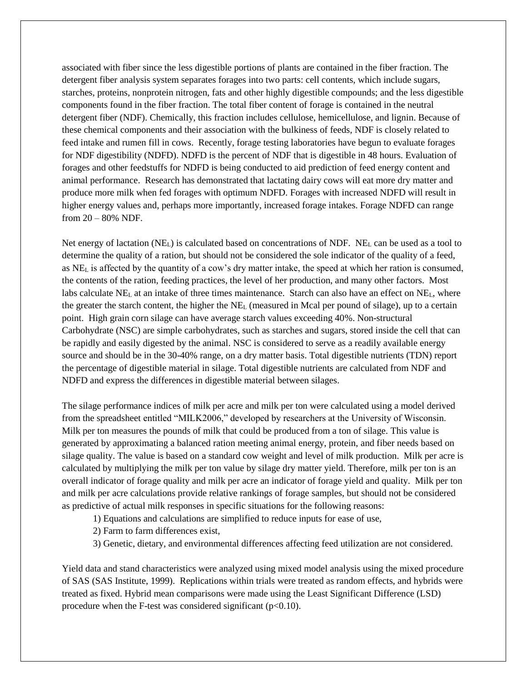associated with fiber since the less digestible portions of plants are contained in the fiber fraction. The detergent fiber analysis system separates forages into two parts: cell contents, which include sugars, starches, proteins, nonprotein nitrogen, fats and other highly digestible compounds; and the less digestible components found in the fiber fraction. The total fiber content of forage is contained in the neutral detergent fiber (NDF). Chemically, this fraction includes cellulose, hemicellulose, and lignin. Because of these chemical components and their association with the bulkiness of feeds, NDF is closely related to feed intake and rumen fill in cows. Recently, forage testing laboratories have begun to evaluate forages for NDF digestibility (NDFD). NDFD is the percent of NDF that is digestible in 48 hours. Evaluation of forages and other feedstuffs for NDFD is being conducted to aid prediction of feed energy content and animal performance. Research has demonstrated that lactating dairy cows will eat more dry matter and produce more milk when fed forages with optimum NDFD. Forages with increased NDFD will result in higher energy values and, perhaps more importantly, increased forage intakes. Forage NDFD can range from 20 – 80% NDF.

Net energy of lactation (NEL) is calculated based on concentrations of NDF. NE<sup>L</sup> can be used as a tool to determine the quality of a ration, but should not be considered the sole indicator of the quality of a feed, as  $NE<sub>L</sub>$  is affected by the quantity of a cow's dry matter intake, the speed at which her ration is consumed, the contents of the ration, feeding practices, the level of her production, and many other factors. Most labs calculate NE<sup>L</sup> at an intake of three times maintenance. Starch can also have an effect on NEL, where the greater the starch content, the higher the  $NE<sub>L</sub>$  (measured in Mcal per pound of silage), up to a certain point. High grain corn silage can have average starch values exceeding 40%. Non-structural Carbohydrate (NSC) are simple carbohydrates, such as starches and sugars, stored inside the cell that can be rapidly and easily digested by the animal. NSC is considered to serve as a readily available energy source and should be in the 30-40% range, on a dry matter basis. Total digestible nutrients (TDN) report the percentage of digestible material in silage. Total digestible nutrients are calculated from NDF and NDFD and express the differences in digestible material between silages.

The silage performance indices of milk per acre and milk per ton were calculated using a model derived from the spreadsheet entitled "MILK2006," developed by researchers at the University of Wisconsin. Milk per ton measures the pounds of milk that could be produced from a ton of silage. This value is generated by approximating a balanced ration meeting animal energy, protein, and fiber needs based on silage quality. The value is based on a standard cow weight and level of milk production. Milk per acre is calculated by multiplying the milk per ton value by silage dry matter yield. Therefore, milk per ton is an overall indicator of forage quality and milk per acre an indicator of forage yield and quality. Milk per ton and milk per acre calculations provide relative rankings of forage samples, but should not be considered as predictive of actual milk responses in specific situations for the following reasons:

- 1) Equations and calculations are simplified to reduce inputs for ease of use,
- 2) Farm to farm differences exist,
- 3) Genetic, dietary, and environmental differences affecting feed utilization are not considered.

Yield data and stand characteristics were analyzed using mixed model analysis using the mixed procedure of SAS (SAS Institute, 1999). Replications within trials were treated as random effects, and hybrids were treated as fixed. Hybrid mean comparisons were made using the Least Significant Difference (LSD) procedure when the F-test was considered significant  $(p<0.10)$ .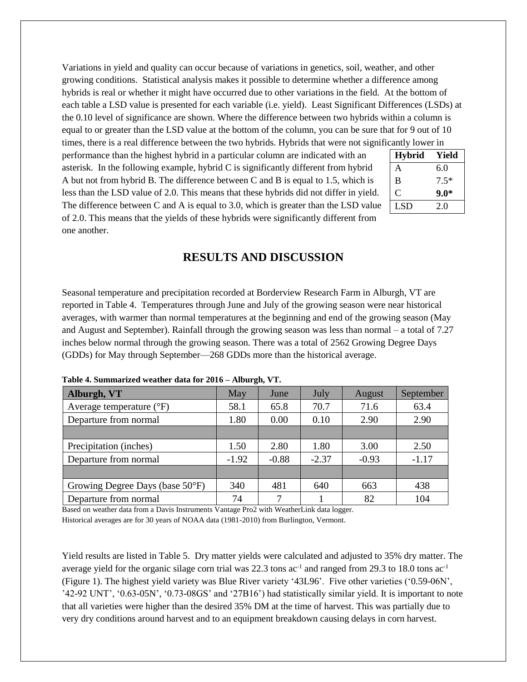Variations in yield and quality can occur because of variations in genetics, soil, weather, and other growing conditions. Statistical analysis makes it possible to determine whether a difference among hybrids is real or whether it might have occurred due to other variations in the field. At the bottom of each table a LSD value is presented for each variable (i.e. yield). Least Significant Differences (LSDs) at the 0.10 level of significance are shown. Where the difference between two hybrids within a column is equal to or greater than the LSD value at the bottom of the column, you can be sure that for 9 out of 10 times, there is a real difference between the two hybrids. Hybrids that were not significantly lower in

performance than the highest hybrid in a particular column are indicated with an asterisk. In the following example, hybrid C is significantly different from hybrid A but not from hybrid B. The difference between C and B is equal to 1.5, which is less than the LSD value of 2.0. This means that these hybrids did not differ in yield. The difference between C and A is equal to 3.0, which is greater than the LSD value of 2.0. This means that the yields of these hybrids were significantly different from one another.

| <b>Hybrid</b> | Yield  |
|---------------|--------|
| A             | 6.0    |
| B             | $7.5*$ |
| C             | $9.0*$ |
| <b>LSD</b>    | 2.0    |
|               |        |

## **RESULTS AND DISCUSSION**

Seasonal temperature and precipitation recorded at Borderview Research Farm in Alburgh, VT are reported in Table 4. Temperatures through June and July of the growing season were near historical averages, with warmer than normal temperatures at the beginning and end of the growing season (May and August and September). Rainfall through the growing season was less than normal – a total of 7.27 inches below normal through the growing season. There was a total of 2562 Growing Degree Days (GDDs) for May through September—268 GDDs more than the historical average.

| Alburgh, VT                               | May     | June          | July    | August  | September |
|-------------------------------------------|---------|---------------|---------|---------|-----------|
| Average temperature $(^{\circ}F)$         | 58.1    | 65.8          | 70.7    | 71.6    | 63.4      |
| Departure from normal                     | 1.80    | 0.00          | 0.10    | 2.90    | 2.90      |
|                                           |         |               |         |         |           |
| Precipitation (inches)                    | 1.50    | 2.80          | 1.80    | 3.00    | 2.50      |
| Departure from normal                     | $-1.92$ | $-0.88$       | $-2.37$ | $-0.93$ | $-1.17$   |
|                                           |         |               |         |         |           |
| Growing Degree Days (base $50^{\circ}$ F) | 340     | 481           | 640     | 663     | 438       |
| Departure from normal                     | 74      | $\mathcal{I}$ |         | 82      | 104       |

**Table 4. Summarized weather data for 2016 – Alburgh, VT.**

Based on weather data from a Davis Instruments Vantage Pro2 with WeatherLink data logger. Historical averages are for 30 years of NOAA data (1981-2010) from Burlington, Vermont.

Yield results are listed in Table 5. Dry matter yields were calculated and adjusted to 35% dry matter. The average yield for the organic silage corn trial was 22.3 tons  $ac^{-1}$  and ranged from 29.3 to 18.0 tons  $ac^{-1}$ (Figure 1). The highest yield variety was Blue River variety '43L96'. Five other varieties ('0.59-06N', '42-92 UNT', '0.63-05N', '0.73-08GS' and '27B16') had statistically similar yield. It is important to note that all varieties were higher than the desired 35% DM at the time of harvest. This was partially due to very dry conditions around harvest and to an equipment breakdown causing delays in corn harvest.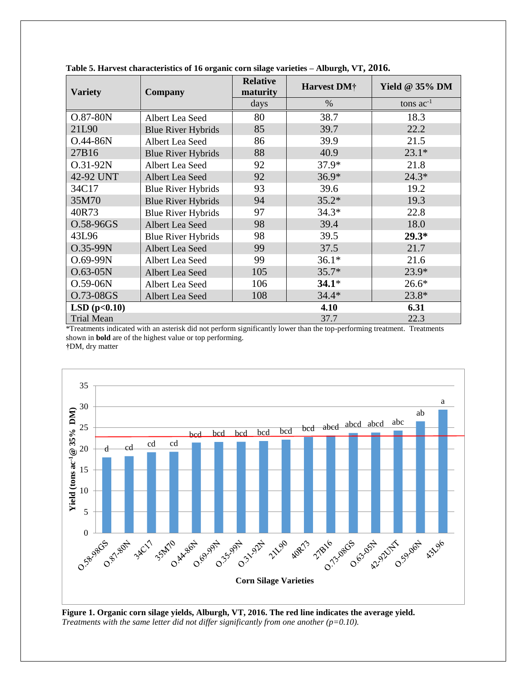| <b>Variety</b>    | Company                   | <b>Relative</b><br>maturity | Harvest DM <sup>†</sup> | Yield @ $35\%$ DM |  |  |
|-------------------|---------------------------|-----------------------------|-------------------------|-------------------|--|--|
|                   |                           | days                        | $\%$                    | tons $ac^{-1}$    |  |  |
| O.87-80N          | Albert Lea Seed           | 80                          | 38.7                    | 18.3              |  |  |
| 21L90             | <b>Blue River Hybrids</b> | 85                          | 39.7                    | 22.2              |  |  |
| $O.44 - 86N$      | Albert Lea Seed           | 86                          | 39.9                    | 21.5              |  |  |
| 27B16             | <b>Blue River Hybrids</b> | 88                          | 40.9                    | $23.1*$           |  |  |
| O.31-92N          | Albert Lea Seed           | 92                          | $37.9*$                 | 21.8              |  |  |
| 42-92 UNT         | Albert Lea Seed           | 92                          | $36.9*$                 | $24.3*$           |  |  |
| 34C17             | <b>Blue River Hybrids</b> | 93                          | 39.6                    | 19.2              |  |  |
| 35M70             | <b>Blue River Hybrids</b> | 94                          | $35.2*$                 | 19.3              |  |  |
| 40R73             | <b>Blue River Hybrids</b> | 97                          | $34.3*$                 | 22.8              |  |  |
| O.58-96GS         | Albert Lea Seed           | 98                          | 39.4                    | 18.0              |  |  |
| 43L96             | <b>Blue River Hybrids</b> | 98                          | 39.5                    | $29.3*$           |  |  |
| O.35-99N          | Albert Lea Seed           | 99                          | 37.5                    | 21.7              |  |  |
| $O.69 - 99N$      | Albert Lea Seed           | 99                          | $36.1*$                 | 21.6              |  |  |
| $O.63 - 05N$      | Albert Lea Seed           | 105                         | $35.7*$                 | $23.9*$           |  |  |
| $O.59 - 06N$      | Albert Lea Seed           | 106                         | $34.1*$                 | $26.6*$           |  |  |
| O.73-08GS         | Albert Lea Seed           | 108                         | $34.4*$                 | $23.8*$           |  |  |
| LSD(p<0.10)       |                           |                             | 4.10                    | 6.31              |  |  |
| <b>Trial Mean</b> |                           |                             | 37.7                    | 22.3              |  |  |

**Table 5. Harvest characteristics of 16 organic corn silage varieties – Alburgh, VT, 2016.**

\*Treatments indicated with an asterisk did not perform significantly lower than the top-performing treatment. Treatments shown in **bold** are of the highest value or top performing.

**†**DM, dry matter



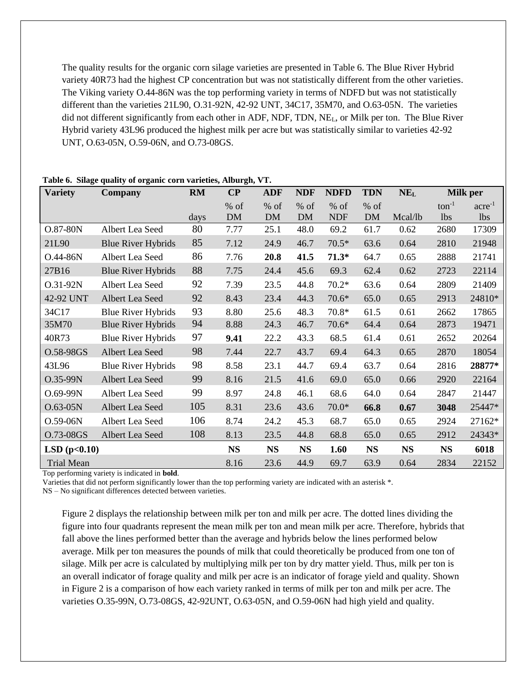The quality results for the organic corn silage varieties are presented in Table 6. The Blue River Hybrid variety 40R73 had the highest CP concentration but was not statistically different from the other varieties. The Viking variety O.44-86N was the top performing variety in terms of NDFD but was not statistically different than the varieties 21L90, O.31-92N, 42-92 UNT, 34C17, 35M70, and O.63-05N. The varieties did not different significantly from each other in ADF, NDF, TDN, NEL, or Milk per ton. The Blue River Hybrid variety 43L96 produced the highest milk per acre but was statistically similar to varieties 42-92 UNT, O.63-05N, O.59-06N, and O.73-08GS.

| <b>Variety</b>    | Company                   | <b>RM</b> | $\bf CP$     | <b>ADF</b>          | <b>NDF</b>        | <b>NDFD</b>          | <b>TDN</b>   | NE <sub>L</sub> | <b>Milk per</b>   |                                |
|-------------------|---------------------------|-----------|--------------|---------------------|-------------------|----------------------|--------------|-----------------|-------------------|--------------------------------|
|                   |                           | days      | $%$ of<br>DM | $%$ of<br><b>DM</b> | % of<br><b>DM</b> | $%$ of<br><b>NDF</b> | $%$ of<br>DM | Mcal/lb         | $ton^{-1}$<br>lbs | $\rm{acre}^{-1}$<br><b>lbs</b> |
| O.87-80N          | Albert Lea Seed           | 80        | 7.77         | 25.1                | 48.0              | 69.2                 | 61.7         | 0.62            | 2680              | 17309                          |
| 21L90             | <b>Blue River Hybrids</b> | 85        | 7.12         | 24.9                | 46.7              | $70.5*$              | 63.6         | 0.64            | 2810              | 21948                          |
| O.44-86N          | Albert Lea Seed           | 86        | 7.76         | 20.8                | 41.5              | $71.3*$              | 64.7         | 0.65            | 2888              | 21741                          |
| 27B16             | <b>Blue River Hybrids</b> | 88        | 7.75         | 24.4                | 45.6              | 69.3                 | 62.4         | 0.62            | 2723              | 22114                          |
| O.31-92N          | Albert Lea Seed           | 92        | 7.39         | 23.5                | 44.8              | $70.2*$              | 63.6         | 0.64            | 2809              | 21409                          |
| 42-92 UNT         | Albert Lea Seed           | 92        | 8.43         | 23.4                | 44.3              | $70.6*$              | 65.0         | 0.65            | 2913              | 24810*                         |
| 34C17             | <b>Blue River Hybrids</b> | 93        | 8.80         | 25.6                | 48.3              | 70.8*                | 61.5         | 0.61            | 2662              | 17865                          |
| 35M70             | <b>Blue River Hybrids</b> | 94        | 8.88         | 24.3                | 46.7              | $70.6*$              | 64.4         | 0.64            | 2873              | 19471                          |
| 40R73             | <b>Blue River Hybrids</b> | 97        | 9.41         | 22.2                | 43.3              | 68.5                 | 61.4         | 0.61            | 2652              | 20264                          |
| O.58-98GS         | Albert Lea Seed           | 98        | 7.44         | 22.7                | 43.7              | 69.4                 | 64.3         | 0.65            | 2870              | 18054                          |
| 43L96             | <b>Blue River Hybrids</b> | 98        | 8.58         | 23.1                | 44.7              | 69.4                 | 63.7         | 0.64            | 2816              | 28877*                         |
| O.35-99N          | Albert Lea Seed           | 99        | 8.16         | 21.5                | 41.6              | 69.0                 | 65.0         | 0.66            | 2920              | 22164                          |
| O.69-99N          | Albert Lea Seed           | 99        | 8.97         | 24.8                | 46.1              | 68.6                 | 64.0         | 0.64            | 2847              | 21447                          |
| $O.63-05N$        | Albert Lea Seed           | 105       | 8.31         | 23.6                | 43.6              | $70.0*$              | 66.8         | 0.67            | 3048              | 25447*                         |
| $O.59-06N$        | Albert Lea Seed           | 106       | 8.74         | 24.2                | 45.3              | 68.7                 | 65.0         | 0.65            | 2924              | 27162*                         |
| O.73-08GS         | Albert Lea Seed           | 108       | 8.13         | 23.5                | 44.8              | 68.8                 | 65.0         | 0.65            | 2912              | 24343*                         |
| LSD(p<0.10)       |                           |           | <b>NS</b>    | <b>NS</b>           | <b>NS</b>         | 1.60                 | <b>NS</b>    | <b>NS</b>       | <b>NS</b>         | 6018                           |
| <b>Trial Mean</b> |                           |           | 8.16         | 23.6                | 44.9              | 69.7                 | 63.9         | 0.64            | 2834              | 22152                          |

#### **Table 6. Silage quality of organic corn varieties, Alburgh, VT.**

Top performing variety is indicated in **bold**.

Varieties that did not perform significantly lower than the top performing variety are indicated with an asterisk \*.

NS – No significant differences detected between varieties.

Figure 2 displays the relationship between milk per ton and milk per acre. The dotted lines dividing the figure into four quadrants represent the mean milk per ton and mean milk per acre. Therefore, hybrids that fall above the lines performed better than the average and hybrids below the lines performed below average. Milk per ton measures the pounds of milk that could theoretically be produced from one ton of silage. Milk per acre is calculated by multiplying milk per ton by dry matter yield. Thus, milk per ton is an overall indicator of forage quality and milk per acre is an indicator of forage yield and quality. Shown in Figure 2 is a comparison of how each variety ranked in terms of milk per ton and milk per acre. The varieties O.35-99N, O.73-08GS, 42-92UNT, O.63-05N, and O.59-06N had high yield and quality.